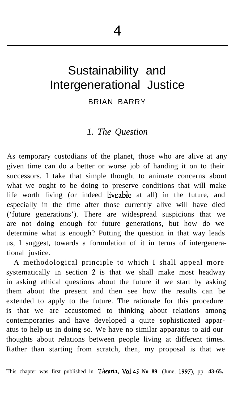# Sustainability and Intergenerational Justice

BRIAN BARRY

# *1. The Question*

As temporary custodians of the planet, those who are alive at any given time can do a better or worse job of handing it on to their successors. I take that simple thought to animate concerns about what we ought to be doing to preserve conditions that will make life worth living (or indeed liveable at all) in the future, and especially in the time after those currently alive will have died ('future generations'). There are widespread suspicions that we are not doing enough for future generations, but how do we determine what is enough? Putting the question in that way leads us, I suggest, towards a formulation of it in terms of intergenerational justice.

A methodological principle to which I shall appeal more systematically in section 2 is that we shall make most headway in asking ethical questions about the future if we start by asking them about the present and then see how the results can be extended to apply to the future. The rationale for this procedure is that we are accustomed to thinking about relations among contemporaries and have developed a quite sophisticated apparatus to help us in doing so. We have no similar apparatus to aid our thoughts about relations between people living at different times. Rather than starting from scratch, then, my proposal is that we

This chapter was first published in **Theoria, Vol45 No 89** (June, **1997),** pp. **43-65.**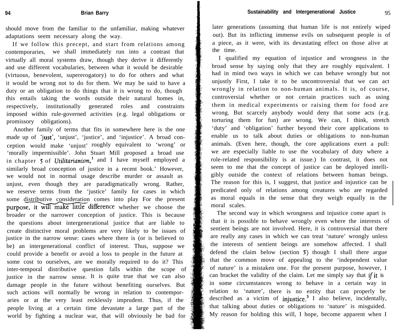should move from the familiar to the unfamiliar, making whatever adaptations seem necessary along the way.

If we follow this precept, and start from relations among contemporaries, we shall immediately run into a contrast that virtually all moral systems draw, though they derive it differently and use different vocabularies, between what it would be desirable (virtuous, benevolent, supererogatory) to do for others and what it would be wrong not to do for them. We may be said to have a duty or an obligation to do things that it is wrong to do, though this entails taking the words outside their natural homes in, respectively, institutionally generated roles and constraints imposed within rule-governed activities (e.g. legal obligations or promissory obligations).

Another family of terms that fits in somewhere here is the one made up of 'just', 'unjust', 'justice', and 'injustice'. A broad conception would make 'unjust' roughly equivalent to 'wrong' or 'morally impermissible'. John Stuart Mill proposed a broad use in chapter  $5$  of Utilitarianism,<sup>1</sup> and I have myself employed a similarly broad conception of justice in a recent book.' However, we would not in normal usage describe murder or assault as unjust, even though they are paradigmatically wrong. Rather, we reserve terms from the 'justice' family for cases in which some distributive consideration comes into play For the present purpose, it will make little difference whether we choose the broader or the narrower conception of justice. This is because the questions about intergenerational justice that are liable to create distinctive moral problems are very likely to be issues of justice in the narrow sense: cases where there is (or is believed to be) an intergenerational conflict of interest. Thus, suppose we could provide a benefit or avoid a loss to people in the future at some cost to ourselves, are we morally required to do it? This inter-temporal distributive question falls within the scope of justice in the narrow sense. It is quite true that we can also damage people in the future without benefiting ourselves. But such actions will normally be wrong in relation to contemporaries or at the very least recklessly imprudent. Thus, if the people living at a certain time devastate a large part of the world by fighting a nuclear war, that will obviously be bad for

later generations (assuming that human life is not entirely wiped out). But its inflicting immense evils on subsequent people is of a piece, as it were, with its devastating effect on those alive at the time.

I qualified my equation of injustice and wrongness in the broad sense by saying only that they are roughly equivalent. I had in mind two ways in which we can behave wrongly but not unjustly First, I take it to be uncontroversial that we can act wrongly in relation to non-human animals. It is, of course, controversial whether or not certain practices such as using them in medical experiments or raising them for food are wrong. But scarcely anybody would deny that some acts (e.g. torturing them for fun) are wrong. We can, I think, stretch 'duty' and 'obligation' further beyond their core applications to enable us to talk about duties or obligations to non-human animals. (Even here, though, the core applications exert a pull: we are especially liable to use the vocabulary of duty where a role-related responsibility is at issue.) In contrast, it does not seem to me that the concept of justice can be deployed intelligibly outside the context of relations between human beings. The reason for this is, I suggest, that justice and injustice can be predicated only of relations among creatures who are regarded as moral equals in the sense that they weigh equally in the moral scales.

The second way in which wrongness and injustice come apart is that it is possible to behave wrongly even where the interests of sentient beings are not involved. Here, it is controversial that there are really any cases in which we can treat 'nature' wrongly unless the interests of sentient beings are somehow affected. I shall defend the claim below (section 5) though I shall there argue that the common move of appealing to the 'independent value of nature' is a mistaken one. For the present purpose, however, I can bracket the validity of the claim. Let me simply say that if it is in some circumstances wrong to behave in a certain way in relation to 'nature', there is no entity that can properly be described as a victim of injustice.<sup>3</sup> I also believe, incidentally, that talking about duties or obligations to 'nature' is misguided. My reason for holding this will, I hope, become apparent when I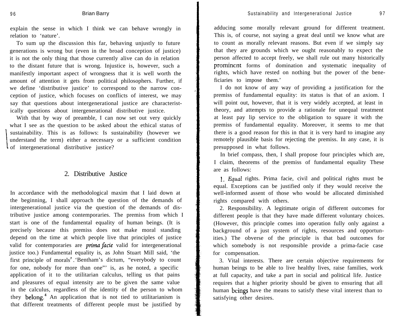explain the sense in which I think we can behave wrongly in relation to 'nature'.

To sum up the discussion this far, behaving unjustly to future generations is wrong but (even in the broad conception of justice) it is not the only thing that those currently alive can do in relation to the distant future that is wrong. Injustice is, however, such a manifestly important aspect of wrongness that it is well worth the amount of attention it gets from political philosophers. Further, if we define 'distributive justice' to correspond to the narrow conception of justice, which focuses on conflicts of interest, we may say that questions about intergenerational justice are characteristically questions about intergenerational distributive justice.

With that by way of preamble, I can now set out very quickly what I see as the question to be asked about the ethical status of I of intergenerational distributive justice? sustainability. This is as follows: Is sustainability (however we understand the term) either a necessary or a sufficient condition

## 2. Distributive Justice

In accordance with the methodological maxim that I laid down at the beginning, I shall approach the question of the demands of intergenerational justice via the question of the demands of distributive justice among contemporaries. The premiss from which I start is one of the fundamental equality of human beings. (It is precisely because this premiss does not make moral standing depend on the time at which people live that principles of justice valid for contemporaries are *prima facie* valid for intergenerational justice too.) Fundamental equality is, as John Stuart Mill said, 'the first principle of morals'. 'Bentham's dictum, "everybody to count for one, nobody for more than one"' is, as he noted, a specific application of it to the utilitarian calculus, telling us that pains and pleasures of equal intensity are to be given the same value in the calculus, regardless of the identity of the person to whom they belong.<sup>4</sup> An application that is not tied to utilitarianism is that different treatments of different people must be justified by

adducing some morally relevant ground for different treatment. This is, of course, not saying a great deal until we know what are to count as morally relevant reasons. But even if we simply say that they are grounds which we ought reasonably to expect the person affected to accept freely, we shall rule out many historically prominent forms of domination and systematic inequality of rights, which have rested on nothing but the power of the beneficiaries to impose them.'

I do not know of any way of providing a justification for the premiss of fundamental equality: its status is that of an axiom. I will point out, however, that it is very widely accepted, at least in theory, and attempts to provide a rationale for unequal treatment at least pay lip service to the obligation to square it with the premiss of fundamental equality. Moreover, it seems to me that there is a good reason for this in that it is very hard to imagine any remotely plausible basis for rejecting the premiss. In any case, it is presupposed in what follows.

In brief compass, then, I shall propose four principles which are, I claim, theorems of the premiss of fundamental equality These are as follows:

1. Equal rights. Prima facie, civil and political rights must be equal. Exceptions can be justified only if they would receive the well-informed assent of those who would be allocated diminished rights compared with others.

2. Responsibility. A legitimate origin of different outcomes for different people is that they have made different voluntary choices. (However, this principle comes into operation fully only against a background of a just system of rights, resources and opportunities.) The obverse of the principle is that bad outcomes for which somebody is not responsible provide a prima-facie case for compensation.

3. Vital interests. There are certain objective requirements for human beings to be able to live healthy lives, raise families, work at full capacity, and take a part in social and political life. Justice requires that a higher priority should be given to ensuring that all human beings have the means to satisfy these vital interest than to satisfying other desires.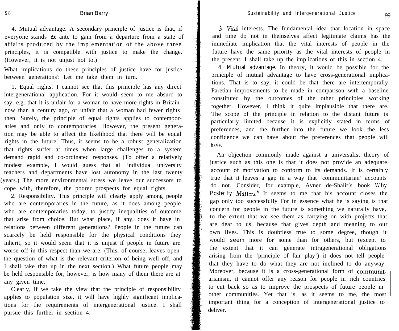#### 98 Brian Barry

4. Mutual advantage. A secondary principle of justice is that, if everyone stands ex ante to gain from a departure from a state of affairs produced by the implementation of the above three principles, it is compatible with justice to make the change. (However, it is not unjust not to.)

What implications do these principles of justice have for justice between generations? Let me take them in turn.

1. Equal rights. I cannot see that this principle has any direct intergenerational application, For it would seem to me absurd to say, e.g. that it is unfair for a woman to have more rights in Britain now than a century ago, or unfair that a woman had fewer rights then. Surely, the principle of equal rights applies to contemporaries and only to contemporaries. However, the present generation may be able to affect the likelihood that there will be equal rights in the future. Thus, it seems to be a robust generalization that rights suffer at times when large challenges to a system demand rapid and co-ordinated responses. (To offer a relatively modest example, I would guess that all individual university teachers and departments have lost autonomy in the last twenty (years.) The more environmental stress we leave our successors to cope with, therefore, the poorer prospects for equal rights.

2. Responsibility. This principle will clearly apply among people who are contemporaries in the future, as it does among people who are contemporaries today, to justify inequalities of outcome that arise from choice. But what place, if any, does it have in relations between different generations? People in the future can scarcely be held responsible for the physical conditions they inherit, so it would seem that it is unjust if people in future are worse off in this respect than we are. (This, of course, leaves open the question of what is the relevant criterion of being well off, and I shall take that up in the next section.) What future people may be held responsible for, however, is how many of them there are at any given time.

Clearly, if we take the view that the principle of responsibility applies to population size, it will have highly significant implications for the requirements of intergenerational justice. I shall pursue this further in section 4.

3. Vital interests. The fundamental idea that location in space and time do not in themselves affect legitimate claims has the immediate implication that the vital interests of people in the future have the same priority as the vital interests of people in the present. I shall take up the implications of this in section 4.

*4. Mutual advantage.* In theory, it would be possible for the principle of mutual advantage to have cross-generational implications. That is to say, it could be that there are intertemporally Paretian improvements to be made in comparison with a baseline constituted by the outcomes of the other principles working together. However, I think it quite implausible that there are. The scope of the principle in relation to the distant future is particularly limited because it is explicitly stated in terms of preferences, and the further into the future we look the less confidence we can have about the preferences that people will have.

An objection commonly made against a universalist theory of justice such as this one is that it does not provide an adequate account of motivation to conform to its demands. It is certainly true that it leaves a gap in a way that 'communitarian' accounts do not. Consider, for example, Avner de-Shalit's book *Why Posterity Matters*<sup>6</sup> It seems to me that his account closes the gap only too successfully For in essence what he is saying is that concern for people in the future is something we naturally have, to the extent that we see them as carrying on with projects that are dear to us, because that gives depth and meaning to our own lives. This is doubtless true to some degree, though it would seem more for some than for others, but (except to the extent that it can generate intragenerational obligations arising from the 'principle of fair play') it does not tell people that they have to do what they are not inclined to do anyway Moreover, because it is a cross-generational form of communitarianism, it cannot offer any reason for people in rich countries to cut back so as to improve the prospects of future people in other communities. Yet that is, as it seems to me, the most important thing for a conception of intergenerational justice to deliver.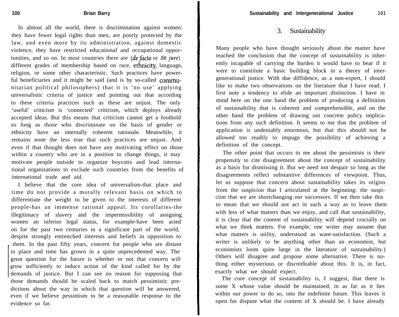### **100 Brian Barry**

In almost all the world, there is discrimination against women: they have fewer legal rights than men, are poorly protected by the law, and even more by its administration, against domestic violence, they have restricted educational and occupational opportunities, and so on. In most countries there are (de facto or de jure) different grades of membership based on race, ethnicity, language, religion, or some other characteristic. Such practices have powerful beneficiaries and it might be said (and is by so-called communitarian political philosophers) that it is 'no use' applying universalistic criteria of justice and pointing out that according to these criteria practices such as these are unjust. The only 'useful' criticism is 'connected' criticism, which deploys already accepted ideas. But this means that criticism cannot get a foothold so long as those who discriminate on the basis of gender or ethnicity have an internally coherent rationale. Meanwhile, it remains none the less true that such practices are unjust. And even if that thought does not have any motivating effect on those within a country who are in a position to change things, it may motivate people outside to organize boycotts and lead international organizations to exclude such countries from the benefits of international trade and aid.

I believe that the core idea of universalism-that place and time do not provide a morally relevant basis on which to differentiate the weight to be given to the interests of different people-has an immense rational appeal. Its corollaries-the illegitimacy of slavery and the impermissibility of assigning women an inferior legal status, for example-have been acted on for the past two centuries in a significant part of the world, despite strongly entrenched interests and beliefs in opposition to , them. In the past fifty years, concern for people who are distant in place and time has grown in a quite unprecedented way. The great question for the future is whether or not that concern will grow sufficiently to induce action of the kind called for by the demands of justice. But I can see no reason for supposing that those demands should be scaled back to match pessimistic predictions about the way in which that question will be answered, even if we believe pessimism to be a reasonable response to the evidence so far.

## 3. Sustainability

Many people who have thought seriously about the matter have reached the conclusion that the concept of sustainability is inherently incapable of carrying the burden it would have to bear if it were to constitute a basic building block in a theory of intergenerational justice. With due diffidence, as a non-expert, I should like to make two observations on the literature that I have read. I first note a tendency to elide an important distinction. I have in mind here on the one hand the problem of producing a definition of sustainability that is coherent and comprehensible, and on the other hand the problem of drawing out concrete policy implications from any such definition. It seems to me that the problem of application is undeniably enormous, but that this should not be allowed too readily to impugn the possibility of achieving a definition of the concept.

The other point that occurs to me about the pessimists is their propensity to cite disagreement about the concept of sustainability as a basis for dismissing it. But we need not despair so long as the disagreements reflect substantive differences of viewpoint. Thus, let us suppose that concern about sustainability takes its origins from the suspicion that I articulated at the beginning: the suspicion that we are shortchanging our successors. If we then take this to mean that we should not act in such a way as to leave them with less of what matters than we enjoy, and call that sustainability, it is clear that the content of sustainability will depend crucially on what we think matters. For example, one writer may assume that what matters is utility, understood as want-satisfaction. (Such a writer is unlikely to be anything other than an economist, but economists loom quite large in the literature of sustainability.) Others will disagree and propose some alternative. There is nothing either mysterious or discreditable about this. It is, in fact, exactly what we should expect.

The core concept of sustainability is, I suggest, that there is some X whose value should be maintained, in as far as it lies within our power to do so, into the indefinite future. This leaves it open for dispute what the content of X should be. I have already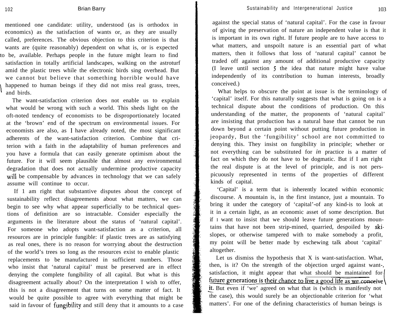mentioned one candidate: utility, understood (as is orthodox in economics) as the satisfaction of wants or, as they are usually called, preferences. The obvious objection to this criterion is that wants are (quite reasonably) dependent on what is, or is expected to be, available. Perhaps people in the future might learn to find satisfaction in totally artificial landscapes, walking on the astroturf amid the plastic trees while the electronic birds sing overhead. But we cannot but believe that something horrible would have \ happened to human beings if they did not miss real grass, trees, and birds.

The want-satisfaction criterion does not enable us to explain what would be wrong with such a world. This sheds light on the oft-noted tendency of economists to be disproportionately located at the 'brown' end of the spectrum on environmental issues. For economists are also, as I have already noted, the most significant adherents of the want-satisfaction criterion. Combine that criterion with a faith in the adaptability of human preferences and you have a formula that can easily generate optimism about the future. For it will seem plausible that almost any environmental degradation that does not actually undermine productive capacity will be compensable by advances in technology that we can safely assume will continue to occur.

If 1 am right that substantive disputes about the concept of sustainability reflect disagreements about what matters, we can begin to see why what appear superficially to be technical questions of definition are so intractable. Consider especially the arguments in the literature about the status of 'natural capital'. For someone who adopts want-satisfaction as a criterion, all resources are in principle fungible: if plastic trees are as satisfying as real ones, there is no reason for worrying about the destruction of the world's trees so long as the resources exist to enable plastic replacements to be manufactured in sufficient numbers. Those who insist that 'natural capital' must be preserved are in effect denying the complete fungibility of all capital. But what is this disagreement actually about? On the interpretation I wish to offer, this is not a disagreement that turns on some matter of fact. It would be quite possible to agree with everything that might be said in favour of fungibihty and still deny that it amounts to a case

against the special status of 'natural capital'. For the case in favour of giving the preservation of nature an independent value is that it is important in its own right. If future people are to have access to what matters, and unspoilt nature is an essential part of what matters, then it follows that loss of 'natural capital' cannot be traded off against any amount of additional productive capacity (I leave until section 5 the idea that nature might have value independently of its contribution to human interests, broadly conceived.)

What helps to obscure the point at issue is the terminology of 'capital' itself. For this naturally suggests that what is going on is a technical dispute about the conditions of production. On this understanding of the matter, the proponents of 'natural capital' are insisting that production has a natural base that cannot be run down beyond a certain point without putting future production in jeopardy, But the 'fungibility' school are not committed to denying this. They insist on fungibility in principle; whether or not everything can be substituted for *in* practice is a matter of fact on which they do not have to be dogmatic. But if I am right the real dispute is at the level of principle, and is not perspicuously represented in terms of the properties of different kinds of capital.

'Capital' is a term that is inherently located within economic discourse. A mountain is, in the first instance, just a mountain. To bring it under the category of 'capital'-of any kind-is to look at it in a certain light, as an economic asset of some description. But if I want to insist that we should leave future generations mountains that have not been strip-mined, quarried, despoiled by skislopes, or otherwise tampered with to make somebody a profit, my point will be better made by eschewing talk about 'capital' altogether.

Let us dismiss the hypothesis that X is want-satisfaction. What, then, is it? On the strength of the objection urged against want-, satisfaction, it might appear that what should be maintained for then, is it? On the strength of the objection urged against<br>satisfaction, it might appear that what should be maintain<br>future generations is their chance to live a good life as we co future generations is their chance to live a good life as we conceive to it. But even if 'we' agreed on what that is (which is manifestly not the case), this would surely be an objectionable criterion for 'what matters'. For one of the defining characteristics of human beings is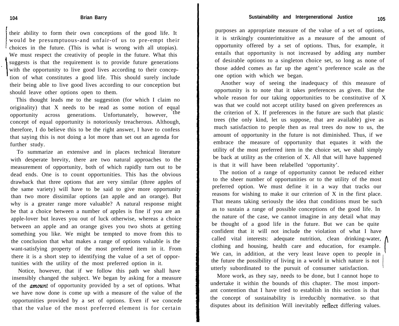their ability to form their own conceptions of the good life. It would be presumptuous-and unfair-of us to pre-empt their choices in the future. (This is what is wrong with all utopias). We must respect the creativity of people in the future. What this suggests is that the requirement is to provide future generations with the opportunity to live good lives according to their conception of what constitutes a good life. This should surely include their being able to live good lives according to our conception but should leave other options open to them.

This thought leads me to the suggestion (for which I claim no originality) that X needs to be read as some notion of equal opportunity across generations. Unfortunately, however, concept of equal opportunity is notoriously treacherous. Although, therefore, I do believe this to be the right answer, I have to confess that saying this is not doing a lot more than set out an agenda for further study.

To summarize an extensive and in places technical literature with desperate brevity, there are two natural approaches to the measurement of opportunity, both of which rapidly turn out to be dead ends. One is to count opportunities. This has the obvious drawback that three options that are very similar (three apples of the same variety) will have to be said to give more opportunity than two more dissimilar options (an apple and an orange). But why is a greater range more valuable? A natural response might be that a choice between a number of apples is fine if you are an apple-lover but leaves you out of luck otherwise, whereas a choice between an apple and an orange gives you two shots at getting something you like. We might be tempted to move from this to the conclusion that what makes a range of options valuable is the want-satisfying property of the most preferred item in it. From there it is a short step to identifying the value of a set of opportunities with the utility of the most preferred option in it.

Notice, however, that if we follow this path we shall have insensibly changed the subject. We began by asking for a measure of the amount of opportunity provided by a set of options. What we have now done is come up with a measure of the value of the opportunities provided by a set of options. Even if we concede that the value of the most preferred element is for certain

purposes an appropriate measure of the value of a set of options, it is strikingly counterintuitive as a measure of the amount of opportunity offered by a set of options. Thus, for example, it entails that opportunity is not increased by adding any number of desirable options to a singleton choice set, so long as none of those added comes as far up the agent's preference scale as the one option with which we began.

Another way of seeing the inadequacy of this measure of opportunity is to note that it takes preferences as given. But the whole reason for our taking opportunities to be constitutive of X was that we could not accept utility based on given preferences as the criterion of X. If preferences in the future are such that plastic trees (the only kind, let us suppose, that are available) give as much satisfaction to people then as real trees do now to us, the amount of opportunity in the future is not diminished. Thus, if we embrace the measure of opportunity that equates it with the utility of the most preferred item in the choice set, we shall simply be back at utility as the criterion of X. All that will have happened is that it will have been relabelled 'opportunity'.

The notion of a range of opportunity cannot be reduced either to the sheer number of opportunities or to the utility of the most preferred option. We must define it in a way that tracks our reasons for wishing to make it our criterion of X in the first place. That means taking seriously the idea that conditions must be such as to sustain a range of possible conceptions of the good life. In the nature of the case, we cannot imagine in any detail what may be thought of a good life in the future. But we can be quite confident that it will not include the violation of what I have called vital interests: adequate nutrition, clean drinking-water,  $\Lambda$ clothing and housing, health care and education, for example. We can, in addition, at the very least leave open to people in the future the possibility of living in a world in which nature is not utterly subordinated to the pursuit of consumer satisfaction.

More work, as they say, needs to be done, but I cannot hope to undertake it within the bounds of this chapter. The most important contention that I have tried to establish in this section is that the concept of sustainability is irreducibly normative. so that disputes about its definition Will inevitably reflect differing values.

I

. I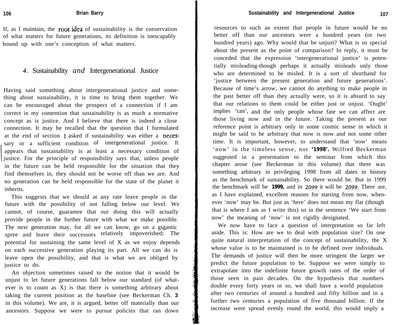If, as I maintain, the **root** idea of sustainability is the conservation of what matters for future generations, its definition is inescapably bound up with one's conception of what matters.

# 4. Sustainability *and* Intergenerational Justice

Having said something about intergenerational justice and something about sustainability, it is time to bring them together. We can be encouraged about the prospect of a connection if I am correct in my contention that sustainability is as much a normative concept as is justice. And I believe that there is indeed a close connection. It may be recalled that the question that I formulated at the end of section 1 asked if sustainability was either a necessary or a sufficient condition of intergenerational justice. It appears that sustainability is at least a necessary condition of justice. For the principle of responsibility says that, unless people in the future can be held responsible for the situation that they find themselves in, they should not be worse off than we are. And no generation can be held responsible for the state of the planet it inherits.

This suggests that we should at any rate leave people in the future with the possibility of not falling below our level. We cannot, of course, guarantee that our doing this will actually provide people in the further future with what we make possible. The next generation may, for all we can know, go on a gigantic spree and leave their successors relatively impoverished; The potential for sustaining the same level of X as we enjoy depends on each successive generation playing its part. All we can do is leave open the possibility, and that is what we are obliged by justice to do.

An objection sometimes raised to the notion that it would be unjust to let future generations fall below our standard (of whatever is to count as X) is that there is something arbitrary about taking the current position as the baseline (see Beckerman Ch. **3** in this volume). We are, it is argued, better off materially than our ancestors. Suppose we were to pursue policies that ran down

resources to such an extent that people in future would be no better off than our ancestors were a hundred years (or two hundred years) ago. Why would that be unjust? What is so special about the present as the point of comparison? In reply, it must be conceded that the expression 'intergenerational justice' is potentially misleading-though perhaps it actually misleads only those who are determined to be misled. It is a sort of shorthand for 'justice between the present generation and future generations'. Because of time's arrow, we cannot do anything to make people in the past better off than they actually were, so it is absurd to say that our relations to them could be either just or unjust. 'Ought' implies 'can', and the only people whose fate we can affect are those living now and in the future. Taking the present as our reference point is arbitrary only in some cosmic sense in which it might be said to be arbitrary that now is now and not some other time. It is important, however, to understand that 'now' means 'now' in the timeless sense, not **'1998'.** Wilfred Beckerman suggested in a presentation to the seminar from which this chapter arose (see Beckerman in this volume) that there was something arbitrary in privileging 1998 from all dates in history as the benchmark of sustainability. So there would be. But in 1999 the benchmark will be **1999,** and in 2099 it will be **2099.** There are, as I have explained, excellent reasons for starting from now, whenever 'now' may be. But just as 'here' does not mean my flat (though that is where I am as I write this) so in the sentence 'We start from now' the meaning of 'now' is not rigidly designated.

We now have to face a question of interpretation so far left aside. This is: How are we to deal with population size? On one quite natural interpretation of the concept of sustainability, the X whose value is to be maintained is to be defined over individuals. The demands of justice will then be more stringent the larger we predict the future population to be. Suppose we were simply to extrapolate into the indefinite future growth rates of the order of those seen in past decades. On the hypothesis that numbers double every forty years or so, we shall have a world population after two centuries of around a hundred and fifty billion and in a further two centuries a population of five thousand billion. If the increase were spread evenly round the world, this would imply a

I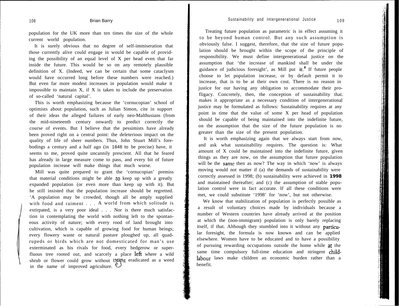population for the UK more than ten times the size of the whole current world population.

It is surely obvious that no degree of self-immiseration that those currently alive could engage in would be capable of providing the possibility of an equal level of X per head even that far inside the future. This would be so on any remotely plausible definition of X. (Indeed, we can be certain that some cataclysm would have occurred long before these numbers were reached.) But even far more modest increases in population would make it impossible to maintain X, if X is taken to include the preservation of so-called 'natural capital'.

This is worth emphasizing because the 'cornucopian' school of optimists about population, such as Julian Simon, cite in support of their ideas the alleged failures of early neo-Malthusians (from the mid-nineteenth century onward) to predict correctly the course of events. But I believe that the pessimists have already been proved right on a central point: the deleterious impact on the quality of life of sheer numbers. Thus, John Stuart Mill's forebodings a century and a half ago (in 1848 to be precise) have, it seems to me, proved quite uncannily prescient. All that he feared has already in large measure come to pass, and every bit of future population increase will make things that much worse.

Mill was quite prepared to grant the 'cornucopian' premiss that material conditions might be able .to keep up with a greatly expanded population (or even more than keep up with it). But he still insisted that the population increase should be regretted. 'A population may be crowded, though all be amply supplied with food and raiment . . . A world from which solitude is extirpated, is a very poor ideal . . . Nor is there much satisfaction in contemplating the world with nothing left to the spontaneous activity of nature; with every rood of land brought into cultivation, which is capable of growing food for human beings; every flowery waste or natural pasture ploughed up, all quadrupeds or birds which are not domesticated for man's use exterminated as his rivals for food, every hedgerow or superfluous tree rooted out, and scarcely a place left where a wild shrub or flower could grow without being eradicated as a weed<br>in the name of improved agriculture.

Treating future population as parametric is in effect assuming it to be beyond human control. But any such assumption is obviously false. I suggest, therefore, that the size of future population should be brought within the scope of the principle of responsibility. We must define intergenerational justice on the assumption that 'the increase of mankind shall be under the guidance of judicious foresight', as Mill put it.<sup>8</sup> If future people choose to let population increase, or by default permit it to increase, that is to be at their own cost. There is no reason in justice for our having any obligation to accommodate their profligacy. Concretely, then, the conception of sustainability that. makes it appropriate as a necessary condition of intergenerational justice may be formulated as follows: Sustainability requires at any point in time that the value of some X per head of population should be capable of being maintained into the indefinite future, on the assumption that the size of the future population is no greater than the size of the present population.

It is worth emphasizing again that we always start from now, and ask what sustainability requires. The question is: What amount of X could be maintained into the indefinite future, given things as they are now, on the assumption that future population will be the same then as now? The way in which 'now' is always moving would not matter if (a) the demands of sustainability were correctly assessed in 1998; (b) sustainability were achieved in **1998** and maintained thereafter; and (c) the assumption of stable population control were in fact accurate. If all these conditions were met, we could substitute '1998' for 'now', but not otherwise.

We know that stabilization of population is perfectly possible as a result of voluntary choices made by individuals because a number of Western countries have already arrived at the position at which the (non-immigrant) population is only barely replacing itself, if that. Although they stumbled into it without any particular foresight, the formula is now known and can be applied elsewhere. Women have to be educated and to have a possibility of pursuing rewarding occupations outside the home while at the same time compulsory full-time education and stringent childlabour laws make children an economic burden rather than a benefit.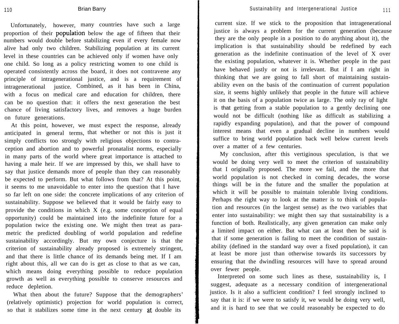#### 110 **Brian Barry**

Unfortunately, however, many countries have such a large proportion of their population below the age of fifteen that their numbers would double before stabilizing even if every female now alive had only two children. Stabilizing population at its current level in these countries can be achieved only if women have only one child. So long as a policy restricting women to one child is operated consistently across the board, it does not contravene any principle of intragenerational justice, and is a requirement of intragenerational justice. Combined, as it has been in China, with a focus on medical care and education for children, there can be no question that: it offers the next generation the best chance of living satisfactory lives, and removes a huge burden on future generations.

At this point, however, we must expect the response, already anticipated in general terms, that whether or not this is just it simply conflicts too strongly with religious objections to contraception and abortion and to powerful pronatalist norms, especially in many parts of the world where great importance is attached to having a male heir. If we are impressed by this, we shall have to say that justice demands more of people than they can reasonably be expected to perform. But what follows from that? At this point, it seems to me unavoidable to enter into the question that I have so far left on one side: the concrete implications of any criterion of sustainability. Suppose we believed that it would be fairly easy to provide the conditions in which X (e.g. some conception of equal opportunity) could be maintained into the indefinite future for a population twice the existing one. We might then treat as parametric the predicted doubling of world population and redefine sustainability accordingly. But my own conjecture is that the criterion of sustainability already proposed is extremely stringent, and that there is little chance of its demands being met. If I am right about this, all we can do is get as close to that as we can, which means doing everything possible to reduce population growth as well as everything possible to conserve resources and reduce depletion.

What then about the future? Suppose that the demographers' (relatively optimistic) projection for world population is correct, so that it stabilizes some time in the next century at double its

current size. If we stick to the proposition that intragenerational justice is always a problem for the current generation (because they are the only people in a position to do anything about it), the implication is that sustainability should be redefined by each generation as the indefinite continuation of the level of X over the existing population, whatever it is. Whether people in the past have behaved justly or not is irrelevant. But if I am right in thinking that we are going to fall short of maintaining sustainability even on the basis of the continuation of current population size, it seems highly unlikely that people in the future will achieve it on the basis of a population twice as large. The only ray of light is that getting from a stable population to a gently declining one would not be difficult (nothing like as difficult as stabilizing a rapidly expanding population), and that the power of compound interest means that even a gradual decline in numbers would suffice to bring world population back well below current levels over a matter of a few centuries.

My conclusion, after this vertiginous speculation, is that we would be doing very well to meet the criterion of sustainability that I originally proposed. The more we fail, and the more that world population is not checked in coming decades, the worse things will be in the future and the smaller the population at which it will be possible to maintain tolerable living conditions. Perhaps the right way to look at the matter is to think of population and resources (in the largest sense) as the two variables that enter into sustainability: we might then say that sustainability is a function of both. Realistically, any given generation can make only a limited impact on either. But what can at least then be said is that if some generation is failing to meet the condition of sustainability (defined in the standard way over a fixed population), it can at least be more just than otherwise towards its successors by ensuring that the dwindling resources will have to spread around over fewer people.

Interpreted on some such lines as these, sustainability is, I suggest, adequate as a necessary condition of intergenerational justice. Is it also a sufficient condition? I feel strongly inclined to say that it is: if we were to satisfy it, we would be doing very well, and it is hard to see that we could reasonably be expected to do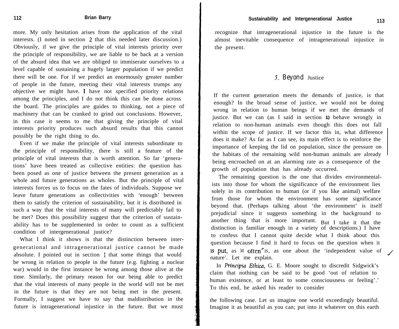more. My only hesitation arises from the application of the vital interests. (I noted in section 2 that this needed later discussion.) Obviously, if we give the principle of vital interests priority over the principle of responsibility, we are liable to be back at a version of the absurd idea that we are obliged to immiserate ourselves to a level capable of sustaining a hugely larger population if we predict there will be one. For if we predict an enormously greater number of people in the future, meeting their vital interests trumps any objective we might have. I have not specified priority relations among the principles, and I do not think this can be done across the board. The principles are guides to thinking, not a piece of machinery that can be cranked to grind out conclusions. However, in this case it seems to me that giving the principle of vital interests priority produces such absurd results that this cannot possibly be the right thing to do.

Even if we make the principle of vital interests subordinate to the principle of responsibility, there is still a feature of the principle of vital interests that is worth attention. So far 'generations' have been treated as collective entities: the question has been posed as one of justice between the present generation as a whole and future generations as wholes. But the principle of vital interests forces us to focus on the fates of individuals. Suppose we leave future generations as collectivities with 'enough' between them to satisfy the criterion of sustainability, but it is distributed in such a way that the vital interests of many will predictably fail to be met? Does this possibility suggest that the criterion of sustainability has to be supplemented in order to count as a sufficient condition of intergenerational justice?

What I think it shows is that the distinction between intergenerational and intragenerational justice cannot be made absolute. I pointed out in section 1 that some things that would be wrong in relation to people in the future (e.g. fighting a nuclear war) would in the first instance be wrong among those alive at the time. Similarly, the primary reason for our being able to predict that the vital interests of many people in the world will not be met in the future is that they are not being met in the present. Formally, I suggest we have to say that maldistribution in the future is intragenerational injustice in the future. But we must

recognize that intragenerational injustice in the future is the almost inevitable consequence of intragenerational injustice in the present.

## *5. Beyond* Justice

If the current generation meets the demands of justice, is that enough? In the broad sense of justice, we would not be doing wrong in relation to human beings if we met the demands of justice. But we can (as I said in section **1)** behave wrongly in relation to non-human animals even though this does not fall within the scope of justice. If we factor this in, what difference does it make? As far as I can see, its main effect is to reinforce the importance of keeping the lid on population, since the pressure on the habitats of the remaining wild non-human animals are already being encroached on at an alarming rate as a consequence of the growth of population that has already occurred.

The remaining question is the one that divides environmentalists into those for whom the significance of the environment lies solely in its contribution to human (or if you like animal) welfare from those for whom the environment has some significance beyond that. (Perhaps talking about 'the environment' is itself prejudicial since it suggests something in the background to another thing that is more important. But I take it that the distinction is familiar enough in a variety of descriptions.) I have to confess that I cannot quite decide what I think about this question because I find it hard to focus on the question when it 1s put, as it often '<sub>IS</sub>, as one about the 'independent value of nature'. Let me explain.

*J*

In *Principia Ethica*, G. E. Moore sought to discredit Sidgwick's claim that nothing can be said to be good 'out of relation to human existence, or at least to some consciousness or feeling'.' To this end, he asked his reader to consider

the following case. Let us imagine one world exceedingly beautiful. Imagine it as beautiful as you can; put into it whatever on this earth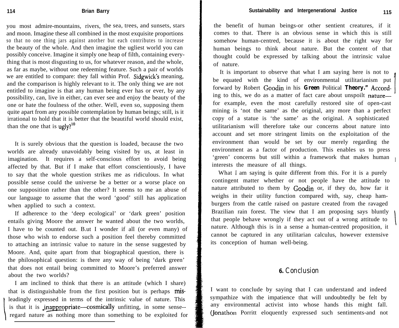you most admire-mountains, rivers, the sea, trees, and sunsets, stars and moon. Imagine these all combined in the most exquisite proportions so that no one thing jars against another but each contributes to increase the beauty of the whole. And then imagine the ugliest world you can possibly conceive. Imagine it simply one heap of filth, containing everything that is most disgusting to us, for whatever reason, and the whole, as far as maybe, without one redeeming feature. Such a pair of worlds we are entitled to compare: they fall within Prof. Sidgwick's meaning, and the comparison is highly relevant to it. The only thing we are not entitled to imagine is that any human being ever has or ever, by any possibility, can, live in either, can ever see and enjoy the beauty of the one or hate the foulness of the other. Well, even so, supposing them quite apart from any possible contemplation by human beings; still, is it irrational to hold that it is better that the beautiful world should exist, than the one that is  $ugly?$ <sup>10</sup>

It is surely obvious that the question is loaded, because the two worlds are already unavoidably being visited by us, at least in imagination. It requires a self-conscious effort to avoid being affected by that. But if I make that effort conscientiously, I have to say that the whole question strikes me as ridiculous. In what possible sense could the universe be a better or a worse place on one supposition rather than the other? It seems to me an abuse of our language to assume that the word 'good' still has application when applied to such a context.

If adherence to the 'deep ecological' or 'dark green' position entails giving Moore the answer he wanted about the two worlds, I have to be counted out. B.ut I wonder if all (or even many) of those who wish to endorse such a position feel thereby committed to attaching an intrinsic value to nature in the sense suggested by Moore. And, quite apart from that biographical question, there is the philosophical question: is there any way of being 'dark green' that does not entail being committed to Moore's preferred answer about the two worlds?

I am inclined to think that there is an attitude (which I share) that is distinguishable from the first position but is perhaps mis leadingly expressed in terms of the intrinsic value of nature. This is that it is inappropriate-cosmically unfitting, in some sense-regard nature as nothing more than something to be exploited for

the benefit of human beings-or other sentient creatures, if it comes to that. There is an obvious sense in which this is still somehow human-centred, because it is about the right way for human beings to think about nature. But the content of that thought could be expressed by talking about the intrinsic value of nature.

be equated with the kind of environmental utilitarianism put It is important to observe that what I am saying here is not to forward by Robert Goodin in his *Green* Political *Theory."* According to this, we do as a matter of fact care about unspoilt naturefor example, even the most carefully restored site of open-cast mining is 'not the same' as the original, any more than a perfect copy of a statue is 'the same' as the original. A sophisticated utilitarianism will therefore take our concerns about nature into account and set more stringent limits on the exploitation of the environment than would be set by our merely regarding the environment as a factor of production. This enables us to press 'green' concerns but still within a framework that makes human interests the measure of all things.

What 1 am saying is quite different from this. For it is a purely contingent matter whether or not people have the attitude to nature attributed to them by Goodin or, if they do, how far it weighs in their utility function compared with, say, cheap hamburgers from the cattle raised on pasture created from the ravaged Brazilian rain forest. The view that I am proposing says bluntly that people behave wrongly if they act out of a wrong attitude to nature. Although this is in a sense a human-centred proposition, it cannot be captured in any utilitarian calculus, however extensive its conception of human well-being.

# *6. Conclusion*

I want to conclude by saying that I can understand and indeed sympathize with the impatience that will undoubtedly be felt by any environmental activist into whose hands this might fall. (Jonathan Porritt eloquently expressed such sentiments-and not

 $\overline{\phantom{a}}$